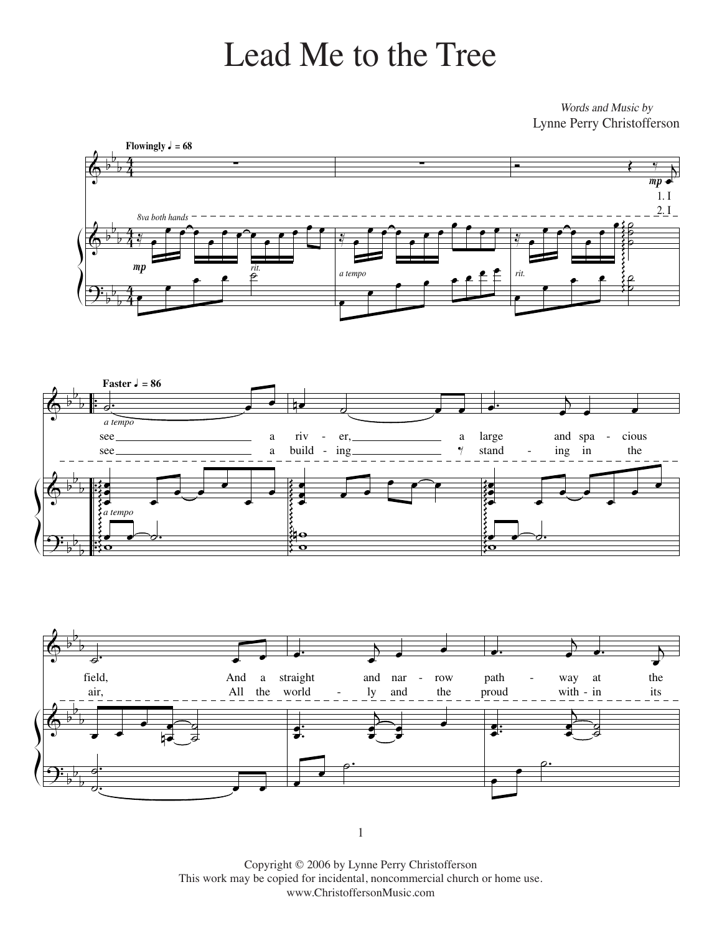## Lead Me to the Tree Lead Me to the Tree

*Words and Music by* Words and Music by Lynne Perry Christofferson Lynne Perry Christofferson







1

Copyright © 2006 by Lynne Perry Christofferson This work may be copied for incidental, noncommercial church or home use. www.ChristoffersonMusic.com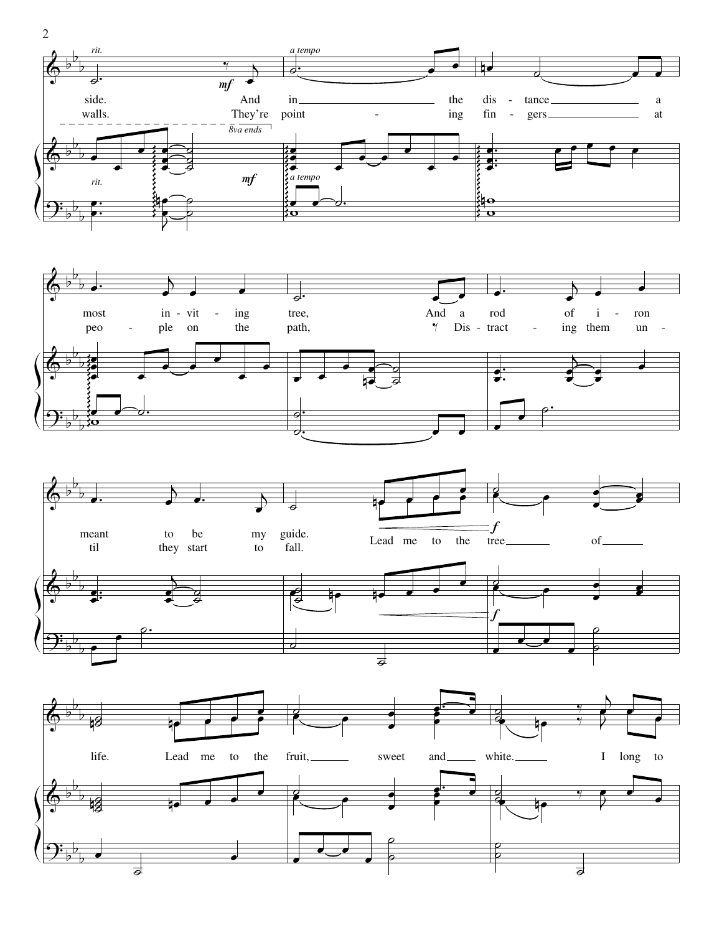